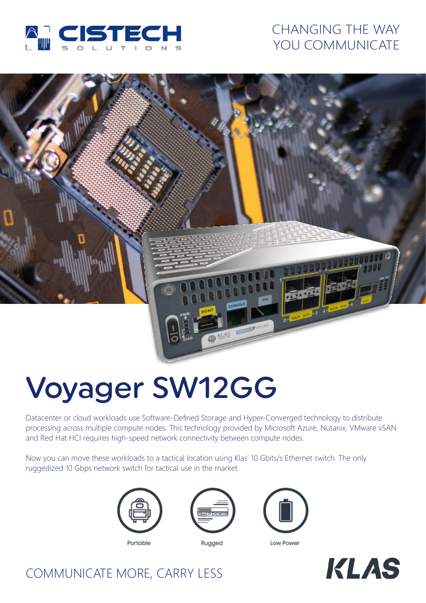

# CHANGING THE WAY YOU COMMUNICATE



# Voyager SW12GG

Datacenter or cloud workloads use Software-Defined Storage and Hyper-Converged technology to distribute processing across multiple compute nodes. This technology provided by Microsoft Azure, Nutanix, VMware vSAN and Red Hat HCI requires high-speed network connectivity between compute nodes.

Now you can move these workloads to a tactical location using Klas' 10 Gbits/s Ethernet switch. The only ruggedized 10 Gbps network switch for tactical use in the market.



Portable







**Low Power** 



# COMMUNICATE MORE, CARRY LESS